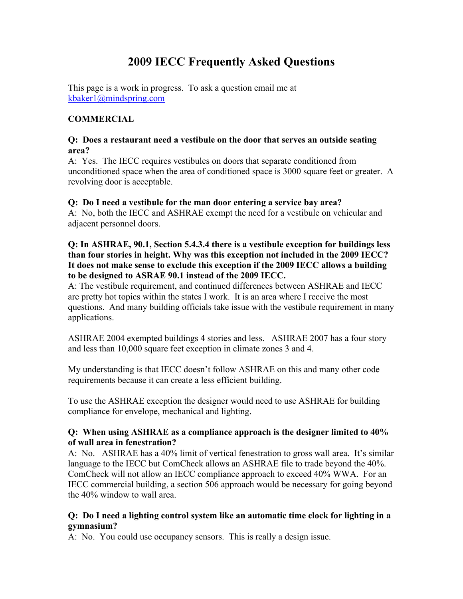# **2009 IECC Frequently Asked Questions**

This page is a work in progress. To ask a question email me at kbaker1@mindspring.com

# **COMMERCIAL**

#### **Q: Does a restaurant need a vestibule on the door that serves an outside seating area?**

A: Yes. The IECC requires vestibules on doors that separate conditioned from unconditioned space when the area of conditioned space is 3000 square feet or greater. A revolving door is acceptable.

# **Q: Do I need a vestibule for the man door entering a service bay area?**

A: No, both the IECC and ASHRAE exempt the need for a vestibule on vehicular and adjacent personnel doors.

#### **Q: In ASHRAE, 90.1, Section 5.4.3.4 there is a vestibule exception for buildings less than four stories in height. Why was this exception not included in the 2009 IECC? It does not make sense to exclude this exception if the 2009 IECC allows a building to be designed to ASRAE 90.1 instead of the 2009 IECC.**

A: The vestibule requirement, and continued differences between ASHRAE and IECC are pretty hot topics within the states I work. It is an area where I receive the most questions. And many building officials take issue with the vestibule requirement in many applications.

ASHRAE 2004 exempted buildings 4 stories and less. ASHRAE 2007 has a four story and less than 10,000 square feet exception in climate zones 3 and 4.

My understanding is that IECC doesn't follow ASHRAE on this and many other code requirements because it can create a less efficient building.

To use the ASHRAE exception the designer would need to use ASHRAE for building compliance for envelope, mechanical and lighting.

#### **Q: When using ASHRAE as a compliance approach is the designer limited to 40% of wall area in fenestration?**

A: No. ASHRAE has a 40% limit of vertical fenestration to gross wall area. It's similar language to the IECC but ComCheck allows an ASHRAE file to trade beyond the 40%. ComCheck will not allow an IECC compliance approach to exceed 40% WWA. For an IECC commercial building, a section 506 approach would be necessary for going beyond the 40% window to wall area.

# **Q: Do I need a lighting control system like an automatic time clock for lighting in a gymnasium?**

A: No. You could use occupancy sensors. This is really a design issue.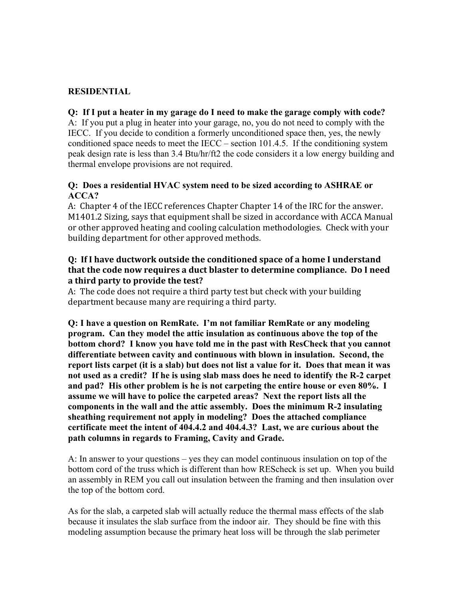# **RESIDENTIAL**

#### **Q: If I put a heater in my garage do I need to make the garage comply with code?**

A: If you put a plug in heater into your garage, no, you do not need to comply with the IECC. If you decide to condition a formerly unconditioned space then, yes, the newly conditioned space needs to meet the IECC – section 101.4.5. If the conditioning system peak design rate is less than 3.4 Btu/hr/ft2 the code considers it a low energy building and thermal envelope provisions are not required.

# **Q: Does a residential HVAC system need to be sized according to ASHRAE or ACCA?**

A: Chapter 4 of the IECC references Chapter Chapter 14 of the IRC for the answer. M1401.2 Sizing, says that equipment shall be sized in accordance with ACCA Manual or other approved heating and cooling calculation methodologies. Check with your building department for other approved methods.

#### **Q: If I have ductwork outside the conditioned space of a home I understand** that the code now requires a duct blaster to determine compliance. Do I need a third party to provide the test?

A: The code does not require a third party test but check with your building department because many are requiring a third party.

**Q: I have a question on RemRate. I'm not familiar RemRate or any modeling program. Can they model the attic insulation as continuous above the top of the bottom chord? I know you have told me in the past with ResCheck that you cannot differentiate between cavity and continuous with blown in insulation. Second, the report lists carpet (it is a slab) but does not list a value for it. Does that mean it was not used as a credit? If he is using slab mass does he need to identify the R-2 carpet and pad? His other problem is he is not carpeting the entire house or even 80%. I assume we will have to police the carpeted areas? Next the report lists all the components in the wall and the attic assembly. Does the minimum R-2 insulating sheathing requirement not apply in modeling? Does the attached compliance certificate meet the intent of 404.4.2 and 404.4.3? Last, we are curious about the path columns in regards to Framing, Cavity and Grade.**

A: In answer to your questions – yes they can model continuous insulation on top of the bottom cord of the truss which is different than how REScheck is set up. When you build an assembly in REM you call out insulation between the framing and then insulation over the top of the bottom cord.

As for the slab, a carpeted slab will actually reduce the thermal mass effects of the slab because it insulates the slab surface from the indoor air. They should be fine with this modeling assumption because the primary heat loss will be through the slab perimeter